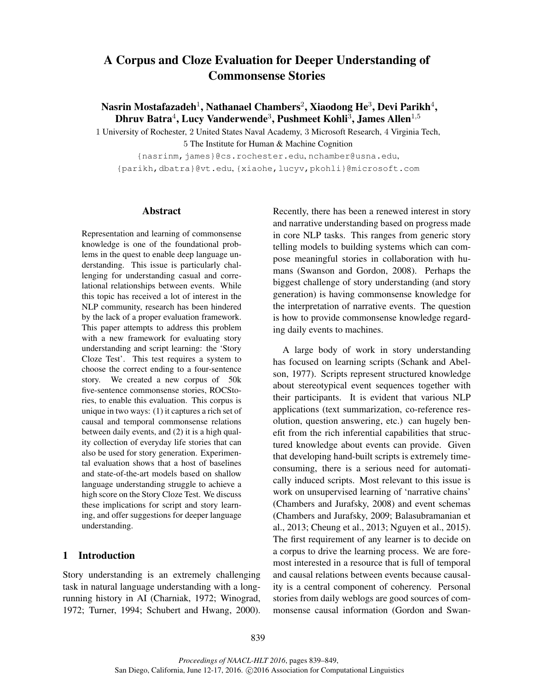# A Corpus and Cloze Evaluation for Deeper Understanding of Commonsense Stories

Nasrin Mostafazadeh $^1$ , Nathanael Chambers $^2$ , Xiaodong He $^3$ , Devi Parikh $^4$ , Dhruv Batra $^4$ , Lucy Vanderwende $^3$ , Pushmeet Kohli $^3$ , James Allen $^{1,5}\,$ 

1 University of Rochester, 2 United States Naval Academy, 3 Microsoft Research, 4 Virginia Tech, 5 The Institute for Human & Machine Cognition

{nasrinm,james}@cs.rochester.edu, nchamber@usna.edu, {parikh,dbatra}@vt.edu, {xiaohe,lucyv,pkohli}@microsoft.com

### Abstract

Representation and learning of commonsense knowledge is one of the foundational problems in the quest to enable deep language understanding. This issue is particularly challenging for understanding casual and correlational relationships between events. While this topic has received a lot of interest in the NLP community, research has been hindered by the lack of a proper evaluation framework. This paper attempts to address this problem with a new framework for evaluating story understanding and script learning: the 'Story Cloze Test'. This test requires a system to choose the correct ending to a four-sentence story. We created a new corpus of 50k five-sentence commonsense stories, ROCStories, to enable this evaluation. This corpus is unique in two ways: (1) it captures a rich set of causal and temporal commonsense relations between daily events, and (2) it is a high quality collection of everyday life stories that can also be used for story generation. Experimental evaluation shows that a host of baselines and state-of-the-art models based on shallow language understanding struggle to achieve a high score on the Story Cloze Test. We discuss these implications for script and story learning, and offer suggestions for deeper language understanding.

### 1 Introduction

Story understanding is an extremely challenging task in natural language understanding with a longrunning history in AI (Charniak, 1972; Winograd, 1972; Turner, 1994; Schubert and Hwang, 2000).

Recently, there has been a renewed interest in story and narrative understanding based on progress made in core NLP tasks. This ranges from generic story telling models to building systems which can compose meaningful stories in collaboration with humans (Swanson and Gordon, 2008). Perhaps the biggest challenge of story understanding (and story generation) is having commonsense knowledge for the interpretation of narrative events. The question is how to provide commonsense knowledge regarding daily events to machines.

A large body of work in story understanding has focused on learning scripts (Schank and Abelson, 1977). Scripts represent structured knowledge about stereotypical event sequences together with their participants. It is evident that various NLP applications (text summarization, co-reference resolution, question answering, etc.) can hugely benefit from the rich inferential capabilities that structured knowledge about events can provide. Given that developing hand-built scripts is extremely timeconsuming, there is a serious need for automatically induced scripts. Most relevant to this issue is work on unsupervised learning of 'narrative chains' (Chambers and Jurafsky, 2008) and event schemas (Chambers and Jurafsky, 2009; Balasubramanian et al., 2013; Cheung et al., 2013; Nguyen et al., 2015). The first requirement of any learner is to decide on a corpus to drive the learning process. We are foremost interested in a resource that is full of temporal and causal relations between events because causality is a central component of coherency. Personal stories from daily weblogs are good sources of commonsense causal information (Gordon and Swan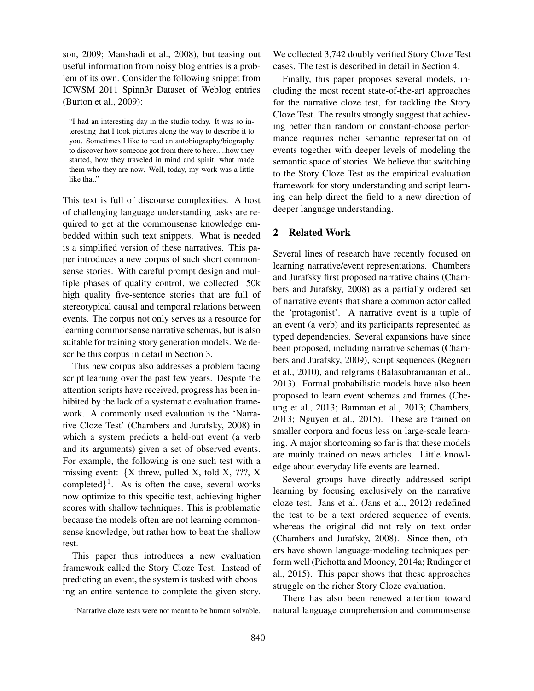son, 2009; Manshadi et al., 2008), but teasing out useful information from noisy blog entries is a problem of its own. Consider the following snippet from ICWSM 2011 Spinn3r Dataset of Weblog entries (Burton et al., 2009):

"I had an interesting day in the studio today. It was so interesting that I took pictures along the way to describe it to you. Sometimes I like to read an autobiography/biography to discover how someone got from there to here.....how they started, how they traveled in mind and spirit, what made them who they are now. Well, today, my work was a little like that."

This text is full of discourse complexities. A host of challenging language understanding tasks are required to get at the commonsense knowledge embedded within such text snippets. What is needed is a simplified version of these narratives. This paper introduces a new corpus of such short commonsense stories. With careful prompt design and multiple phases of quality control, we collected 50k high quality five-sentence stories that are full of stereotypical causal and temporal relations between events. The corpus not only serves as a resource for learning commonsense narrative schemas, but is also suitable for training story generation models. We describe this corpus in detail in Section 3.

This new corpus also addresses a problem facing script learning over the past few years. Despite the attention scripts have received, progress has been inhibited by the lack of a systematic evaluation framework. A commonly used evaluation is the 'Narrative Cloze Test' (Chambers and Jurafsky, 2008) in which a system predicts a held-out event (a verb and its arguments) given a set of observed events. For example, the following is one such test with a missing event:  ${X \text{ threw}}$ , pulled X, told X, ???, X completed $\}^1$ . As is often the case, several works now optimize to this specific test, achieving higher scores with shallow techniques. This is problematic because the models often are not learning commonsense knowledge, but rather how to beat the shallow test.

This paper thus introduces a new evaluation framework called the Story Cloze Test. Instead of predicting an event, the system is tasked with choosing an entire sentence to complete the given story.

We collected 3,742 doubly verified Story Cloze Test cases. The test is described in detail in Section 4.

Finally, this paper proposes several models, including the most recent state-of-the-art approaches for the narrative cloze test, for tackling the Story Cloze Test. The results strongly suggest that achieving better than random or constant-choose performance requires richer semantic representation of events together with deeper levels of modeling the semantic space of stories. We believe that switching to the Story Cloze Test as the empirical evaluation framework for story understanding and script learning can help direct the field to a new direction of deeper language understanding.

### 2 Related Work

Several lines of research have recently focused on learning narrative/event representations. Chambers and Jurafsky first proposed narrative chains (Chambers and Jurafsky, 2008) as a partially ordered set of narrative events that share a common actor called the 'protagonist'. A narrative event is a tuple of an event (a verb) and its participants represented as typed dependencies. Several expansions have since been proposed, including narrative schemas (Chambers and Jurafsky, 2009), script sequences (Regneri et al., 2010), and relgrams (Balasubramanian et al., 2013). Formal probabilistic models have also been proposed to learn event schemas and frames (Cheung et al., 2013; Bamman et al., 2013; Chambers, 2013; Nguyen et al., 2015). These are trained on smaller corpora and focus less on large-scale learning. A major shortcoming so far is that these models are mainly trained on news articles. Little knowledge about everyday life events are learned.

Several groups have directly addressed script learning by focusing exclusively on the narrative cloze test. Jans et al. (Jans et al., 2012) redefined the test to be a text ordered sequence of events, whereas the original did not rely on text order (Chambers and Jurafsky, 2008). Since then, others have shown language-modeling techniques perform well (Pichotta and Mooney, 2014a; Rudinger et al., 2015). This paper shows that these approaches struggle on the richer Story Cloze evaluation.

There has also been renewed attention toward natural language comprehension and commonsense

<sup>&</sup>lt;sup>1</sup>Narrative cloze tests were not meant to be human solvable.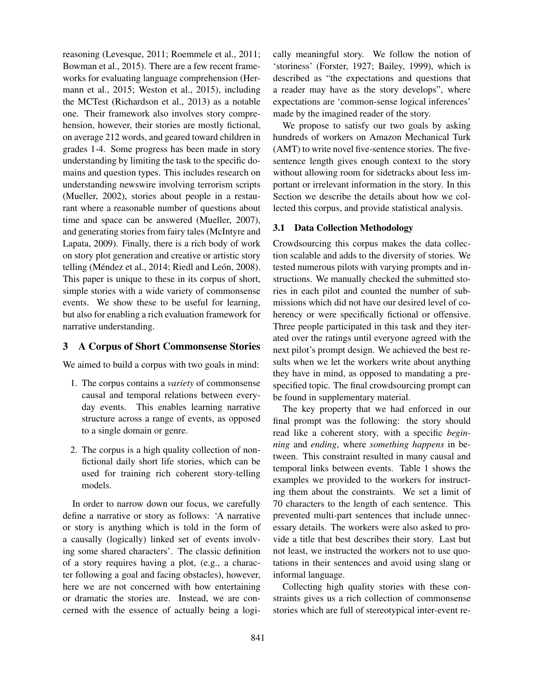reasoning (Levesque, 2011; Roemmele et al., 2011; Bowman et al., 2015). There are a few recent frameworks for evaluating language comprehension (Hermann et al., 2015; Weston et al., 2015), including the MCTest (Richardson et al., 2013) as a notable one. Their framework also involves story comprehension, however, their stories are mostly fictional, on average 212 words, and geared toward children in grades 1-4. Some progress has been made in story understanding by limiting the task to the specific domains and question types. This includes research on understanding newswire involving terrorism scripts (Mueller, 2002), stories about people in a restaurant where a reasonable number of questions about time and space can be answered (Mueller, 2007), and generating stories from fairy tales (McIntyre and Lapata, 2009). Finally, there is a rich body of work on story plot generation and creative or artistic story telling (Méndez et al., 2014; Riedl and León, 2008). This paper is unique to these in its corpus of short, simple stories with a wide variety of commonsense events. We show these to be useful for learning, but also for enabling a rich evaluation framework for narrative understanding.

### 3 A Corpus of Short Commonsense Stories

We aimed to build a corpus with two goals in mind:

- 1. The corpus contains a *variety* of commonsense causal and temporal relations between everyday events. This enables learning narrative structure across a range of events, as opposed to a single domain or genre.
- 2. The corpus is a high quality collection of nonfictional daily short life stories, which can be used for training rich coherent story-telling models.

In order to narrow down our focus, we carefully define a narrative or story as follows: 'A narrative or story is anything which is told in the form of a causally (logically) linked set of events involving some shared characters'. The classic definition of a story requires having a plot, (e.g., a character following a goal and facing obstacles), however, here we are not concerned with how entertaining or dramatic the stories are. Instead, we are concerned with the essence of actually being a logically meaningful story. We follow the notion of 'storiness' (Forster, 1927; Bailey, 1999), which is described as "the expectations and questions that a reader may have as the story develops", where expectations are 'common-sense logical inferences' made by the imagined reader of the story.

We propose to satisfy our two goals by asking hundreds of workers on Amazon Mechanical Turk (AMT) to write novel five-sentence stories. The fivesentence length gives enough context to the story without allowing room for sidetracks about less important or irrelevant information in the story. In this Section we describe the details about how we collected this corpus, and provide statistical analysis.

### 3.1 Data Collection Methodology

Crowdsourcing this corpus makes the data collection scalable and adds to the diversity of stories. We tested numerous pilots with varying prompts and instructions. We manually checked the submitted stories in each pilot and counted the number of submissions which did not have our desired level of coherency or were specifically fictional or offensive. Three people participated in this task and they iterated over the ratings until everyone agreed with the next pilot's prompt design. We achieved the best results when we let the workers write about anything they have in mind, as opposed to mandating a prespecified topic. The final crowdsourcing prompt can be found in supplementary material.

The key property that we had enforced in our final prompt was the following: the story should read like a coherent story, with a specific *beginning* and *ending*, where *something happens* in between. This constraint resulted in many causal and temporal links between events. Table 1 shows the examples we provided to the workers for instructing them about the constraints. We set a limit of 70 characters to the length of each sentence. This prevented multi-part sentences that include unnecessary details. The workers were also asked to provide a title that best describes their story. Last but not least, we instructed the workers not to use quotations in their sentences and avoid using slang or informal language.

Collecting high quality stories with these constraints gives us a rich collection of commonsense stories which are full of stereotypical inter-event re-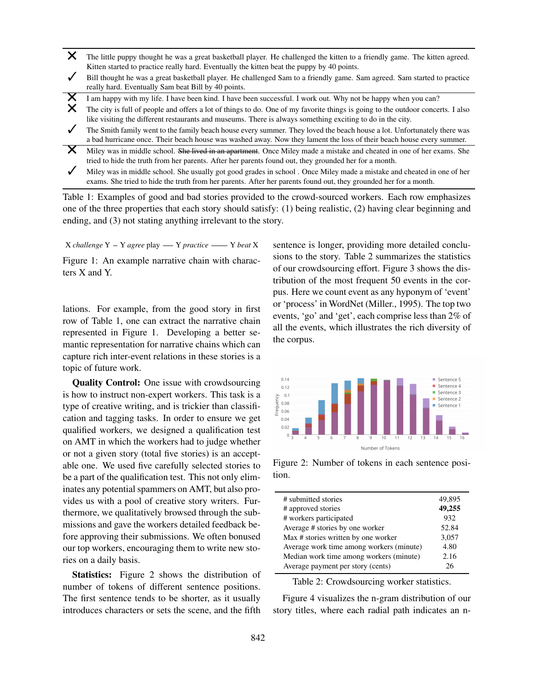- X The little puppy thought he was a great basketball player. He challenged the kitten to a friendly game. The kitten agreed. Kitten started to practice really hard. Eventually the kitten beat the puppy by 40 points.
- Bill thought he was a great basketball player. He challenged Sam to a friendly game. Sam agreed. Sam started to practice really hard. Eventually Sam beat Bill by 40 points.
- I am happy with my life. I have been kind. I have been successful. I work out. Why not be happy when you can?
- The city is full of people and offers a lot of things to do. One of my favorite things is going to the outdoor concerts. I also like visiting the different restaurants and museums. There is always something exciting to do in the city.
- The Smith family went to the family beach house every summer. They loved the beach house a lot. Unfortunately there was a bad hurricane once. Their beach house was washed away. Now they lament the loss of their beach house every summer.
- X. Miley was in middle school. <del>She lived in an apartment</del>. Once Miley made a mistake and cheated in one of her exams. She tried to hide the truth from her parents. After her parents found out, they grounded her for a month.
- $\checkmark$ Miley was in middle school. She usually got good grades in school . Once Miley made a mistake and cheated in one of her exams. She tried to hide the truth from her parents. After her parents found out, they grounded her for a month.

Table 1: Examples of good and bad stories provided to the crowd-sourced workers. Each row emphasizes one of the three properties that each story should satisfy: (1) being realistic, (2) having clear beginning and ending, and (3) not stating anything irrelevant to the story.

 $X$ *challenge*  $Y - Y$  *agree* play —  $Y$  *practice* —  $Y$  *beat* X Figure 1: An example narrative chain with characters X and Y.

lations. For example, from the good story in first row of Table 1, one can extract the narrative chain represented in Figure 1. Developing a better semantic representation for narrative chains which can capture rich inter-event relations in these stories is a topic of future work.

Quality Control: One issue with crowdsourcing is how to instruct non-expert workers. This task is a type of creative writing, and is trickier than classification and tagging tasks. In order to ensure we get qualified workers, we designed a qualification test on AMT in which the workers had to judge whether or not a given story (total five stories) is an acceptable one. We used five carefully selected stories to be a part of the qualification test. This not only eliminates any potential spammers on AMT, but also provides us with a pool of creative story writers. Furthermore, we qualitatively browsed through the submissions and gave the workers detailed feedback before approving their submissions. We often bonused our top workers, encouraging them to write new stories on a daily basis.

Statistics: Figure 2 shows the distribution of number of tokens of different sentence positions. The first sentence tends to be shorter, as it usually introduces characters or sets the scene, and the fifth sentence is longer, providing more detailed conclusions to the story. Table 2 summarizes the statistics of our crowdsourcing effort. Figure 3 shows the distribution of the most frequent 50 events in the corpus. Here we count event as any hyponym of 'event' or 'process' in WordNet (Miller., 1995). The top two events, 'go' and 'get', each comprise less than 2% of all the events, which illustrates the rich diversity of the corpus.



Figure 2: Number of tokens in each sentence position.

| # submitted stories                      | 49,895 |
|------------------------------------------|--------|
| # approved stories                       | 49,255 |
| # workers participated                   | 932    |
| Average # stories by one worker          | 52.84  |
| Max # stories written by one worker      | 3,057  |
| Average work time among workers (minute) | 4.80   |
| Median work time among workers (minute)  | 2.16   |
| Average payment per story (cents)        | 26     |
|                                          |        |

Table 2: Crowdsourcing worker statistics.

Figure 4 visualizes the n-gram distribution of our story titles, where each radial path indicates an n-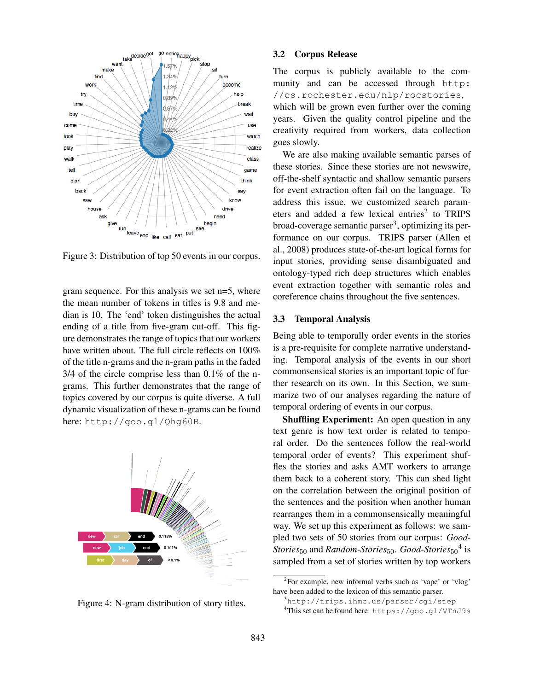

Figure 3: Distribution of top 50 events in our corpus.

gram sequence. For this analysis we set n=5, where the mean number of tokens in titles is 9.8 and median is 10. The 'end' token distinguishes the actual ending of a title from five-gram cut-off. This figure demonstrates the range of topics that our workers have written about. The full circle reflects on 100% of the title n-grams and the n-gram paths in the faded 3/4 of the circle comprise less than 0.1% of the ngrams. This further demonstrates that the range of topics covered by our corpus is quite diverse. A full dynamic visualization of these n-grams can be found here: http://goo.gl/Qhg60B.



Figure 4: N-gram distribution of story titles.

#### 3.2 Corpus Release

The corpus is publicly available to the community and can be accessed through http: //cs.rochester.edu/nlp/rocstories, which will be grown even further over the coming years. Given the quality control pipeline and the creativity required from workers, data collection goes slowly.

We are also making available semantic parses of these stories. Since these stories are not newswire, off-the-shelf syntactic and shallow semantic parsers for event extraction often fail on the language. To address this issue, we customized search parameters and added a few lexical entries<sup>2</sup> to TRIPS broad-coverage semantic parser<sup>3</sup>, optimizing its performance on our corpus. TRIPS parser (Allen et al., 2008) produces state-of-the-art logical forms for input stories, providing sense disambiguated and ontology-typed rich deep structures which enables event extraction together with semantic roles and coreference chains throughout the five sentences.

### 3.3 Temporal Analysis

Being able to temporally order events in the stories is a pre-requisite for complete narrative understanding. Temporal analysis of the events in our short commonsensical stories is an important topic of further research on its own. In this Section, we summarize two of our analyses regarding the nature of temporal ordering of events in our corpus.

Shuffling Experiment: An open question in any text genre is how text order is related to temporal order. Do the sentences follow the real-world temporal order of events? This experiment shuffles the stories and asks AMT workers to arrange them back to a coherent story. This can shed light on the correlation between the original position of the sentences and the position when another human rearranges them in a commonsensically meaningful way. We set up this experiment as follows: we sampled two sets of 50 stories from our corpus: *Good-Stories*<sup>50</sup> and *Random-Stories*50. *Good-Stories*<sup>50</sup> 4 is sampled from a set of stories written by top workers

<sup>&</sup>lt;sup>2</sup>For example, new informal verbs such as 'vape' or 'vlog' have been added to the lexicon of this semantic parser.

<sup>3</sup>http://trips.ihmc.us/parser/cgi/step

<sup>4</sup>This set can be found here: https://goo.gl/VTnJ9s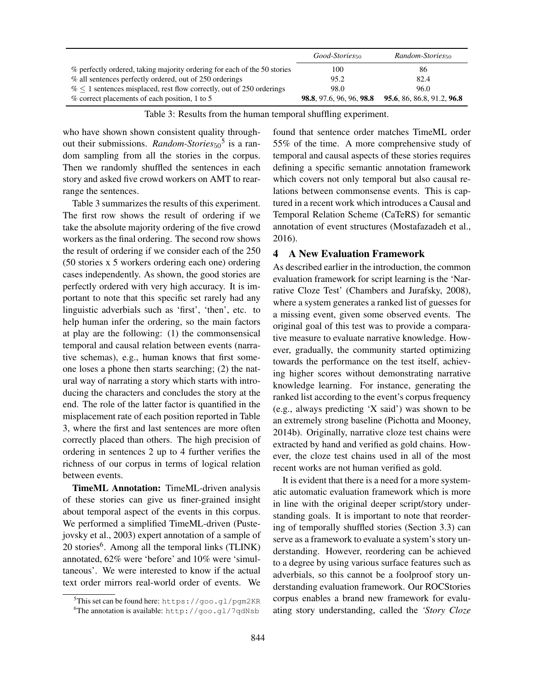|                                                                          | Good-Stories <sub>50</sub> | Random-Stories <sub>50</sub> |
|--------------------------------------------------------------------------|----------------------------|------------------------------|
| % perfectly ordered, taking majority ordering for each of the 50 stories | 100                        | 86                           |
| % all sentences perfectly ordered, out of 250 orderings                  | 95.2                       | 82.4                         |
| $\%$ < 1 sentences misplaced, rest flow correctly, out of 250 orderings  | 98.0                       | 96.0                         |
| % correct placements of each position, 1 to 5                            | 98.8, 97.6, 96, 96, 98.8   | 95.6, 86, 86.8, 91.2, 96.8   |

Table 3: Results from the human temporal shuffling experiment.

who have shown shown consistent quality throughout their submissions. *Random-Stories*<sup>5</sup> is a random sampling from all the stories in the corpus. Then we randomly shuffled the sentences in each story and asked five crowd workers on AMT to rearrange the sentences.

Table 3 summarizes the results of this experiment. The first row shows the result of ordering if we take the absolute majority ordering of the five crowd workers as the final ordering. The second row shows the result of ordering if we consider each of the 250 (50 stories x 5 workers ordering each one) ordering cases independently. As shown, the good stories are perfectly ordered with very high accuracy. It is important to note that this specific set rarely had any linguistic adverbials such as 'first', 'then', etc. to help human infer the ordering, so the main factors at play are the following: (1) the commonsensical temporal and causal relation between events (narrative schemas), e.g., human knows that first someone loses a phone then starts searching; (2) the natural way of narrating a story which starts with introducing the characters and concludes the story at the end. The role of the latter factor is quantified in the misplacement rate of each position reported in Table 3, where the first and last sentences are more often correctly placed than others. The high precision of ordering in sentences 2 up to 4 further verifies the richness of our corpus in terms of logical relation between events.

TimeML Annotation: TimeML-driven analysis of these stories can give us finer-grained insight about temporal aspect of the events in this corpus. We performed a simplified TimeML-driven (Pustejovsky et al., 2003) expert annotation of a sample of 20 stories<sup>6</sup>. Among all the temporal links (TLINK) annotated, 62% were 'before' and 10% were 'simultaneous'. We were interested to know if the actual text order mirrors real-world order of events. We

found that sentence order matches TimeML order 55% of the time. A more comprehensive study of temporal and causal aspects of these stories requires defining a specific semantic annotation framework which covers not only temporal but also causal relations between commonsense events. This is captured in a recent work which introduces a Causal and Temporal Relation Scheme (CaTeRS) for semantic annotation of event structures (Mostafazadeh et al., 2016).

## 4 A New Evaluation Framework

As described earlier in the introduction, the common evaluation framework for script learning is the 'Narrative Cloze Test' (Chambers and Jurafsky, 2008), where a system generates a ranked list of guesses for a missing event, given some observed events. The original goal of this test was to provide a comparative measure to evaluate narrative knowledge. However, gradually, the community started optimizing towards the performance on the test itself, achieving higher scores without demonstrating narrative knowledge learning. For instance, generating the ranked list according to the event's corpus frequency (e.g., always predicting 'X said') was shown to be an extremely strong baseline (Pichotta and Mooney, 2014b). Originally, narrative cloze test chains were extracted by hand and verified as gold chains. However, the cloze test chains used in all of the most recent works are not human verified as gold.

It is evident that there is a need for a more systematic automatic evaluation framework which is more in line with the original deeper script/story understanding goals. It is important to note that reordering of temporally shuffled stories (Section 3.3) can serve as a framework to evaluate a system's story understanding. However, reordering can be achieved to a degree by using various surface features such as adverbials, so this cannot be a foolproof story understanding evaluation framework. Our ROCStories corpus enables a brand new framework for evaluating story understanding, called the *'Story Cloze*

<sup>5</sup>This set can be found here: https://goo.gl/pgm2KR <sup>6</sup>The annotation is available: http://goo.gl/7qdNsb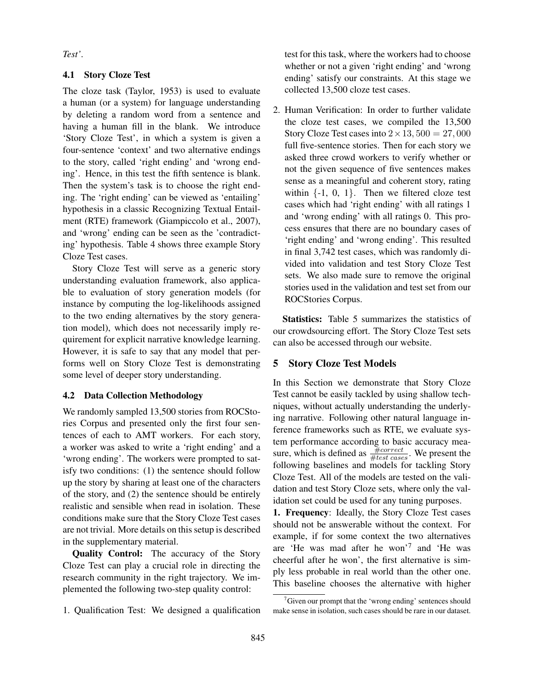*Test'*.

### 4.1 Story Cloze Test

The cloze task (Taylor, 1953) is used to evaluate a human (or a system) for language understanding by deleting a random word from a sentence and having a human fill in the blank. We introduce 'Story Cloze Test', in which a system is given a four-sentence 'context' and two alternative endings to the story, called 'right ending' and 'wrong ending'. Hence, in this test the fifth sentence is blank. Then the system's task is to choose the right ending. The 'right ending' can be viewed as 'entailing' hypothesis in a classic Recognizing Textual Entailment (RTE) framework (Giampiccolo et al., 2007), and 'wrong' ending can be seen as the 'contradicting' hypothesis. Table 4 shows three example Story Cloze Test cases.

Story Cloze Test will serve as a generic story understanding evaluation framework, also applicable to evaluation of story generation models (for instance by computing the log-likelihoods assigned to the two ending alternatives by the story generation model), which does not necessarily imply requirement for explicit narrative knowledge learning. However, it is safe to say that any model that performs well on Story Cloze Test is demonstrating some level of deeper story understanding.

### 4.2 Data Collection Methodology

We randomly sampled 13,500 stories from ROCStories Corpus and presented only the first four sentences of each to AMT workers. For each story, a worker was asked to write a 'right ending' and a 'wrong ending'. The workers were prompted to satisfy two conditions: (1) the sentence should follow up the story by sharing at least one of the characters of the story, and (2) the sentence should be entirely realistic and sensible when read in isolation. These conditions make sure that the Story Cloze Test cases are not trivial. More details on this setup is described in the supplementary material.

Quality Control: The accuracy of the Story Cloze Test can play a crucial role in directing the research community in the right trajectory. We implemented the following two-step quality control:

1. Qualification Test: We designed a qualification

test for this task, where the workers had to choose whether or not a given 'right ending' and 'wrong ending' satisfy our constraints. At this stage we collected 13,500 cloze test cases.

2. Human Verification: In order to further validate the cloze test cases, we compiled the 13,500 Story Cloze Test cases into  $2 \times 13,500 = 27,000$ full five-sentence stories. Then for each story we asked three crowd workers to verify whether or not the given sequence of five sentences makes sense as a meaningful and coherent story, rating within  $\{-1, 0, 1\}$ . Then we filtered cloze test cases which had 'right ending' with all ratings 1 and 'wrong ending' with all ratings 0. This process ensures that there are no boundary cases of 'right ending' and 'wrong ending'. This resulted in final 3,742 test cases, which was randomly divided into validation and test Story Cloze Test sets. We also made sure to remove the original stories used in the validation and test set from our ROCStories Corpus.

Statistics: Table 5 summarizes the statistics of our crowdsourcing effort. The Story Cloze Test sets can also be accessed through our website.

### 5 Story Cloze Test Models

In this Section we demonstrate that Story Cloze Test cannot be easily tackled by using shallow techniques, without actually understanding the underlying narrative. Following other natural language inference frameworks such as RTE, we evaluate system performance according to basic accuracy measure, which is defined as  $\frac{\text{\#correct}}{\text{\#test cases}}$ . We present the following baselines and models for tackling Story Cloze Test. All of the models are tested on the validation and test Story Cloze sets, where only the validation set could be used for any tuning purposes.

1. Frequency: Ideally, the Story Cloze Test cases should not be answerable without the context. For example, if for some context the two alternatives are 'He was mad after he won'<sup>7</sup> and 'He was cheerful after he won', the first alternative is simply less probable in real world than the other one. This baseline chooses the alternative with higher

 $7$ Given our prompt that the 'wrong ending' sentences should make sense in isolation, such cases should be rare in our dataset.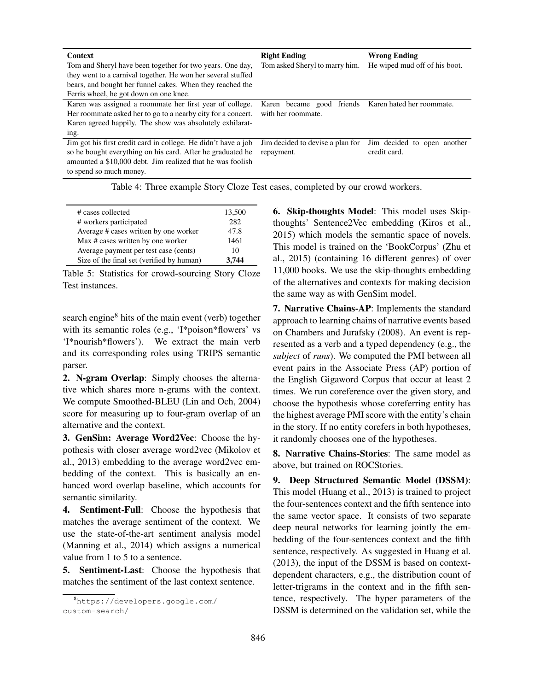| <b>Context</b>                                                 | <b>Right Ending</b>                                 | <b>Wrong Ending</b>           |
|----------------------------------------------------------------|-----------------------------------------------------|-------------------------------|
| Tom and Sheryl have been together for two years. One day,      | Tom asked Sheryl to marry him.                      | He wiped mud off of his boot. |
| they went to a carnival together. He won her several stuffed   |                                                     |                               |
| bears, and bought her funnel cakes. When they reached the      |                                                     |                               |
| Ferris wheel, he got down on one knee.                         |                                                     |                               |
| Karen was assigned a roommate her first year of college.       | Karen became good friends Karen hated her roommate. |                               |
| Her roommate asked her to go to a nearby city for a concert.   | with her roommate.                                  |                               |
| Karen agreed happily. The show was absolutely exhilarat-       |                                                     |                               |
| ing.                                                           |                                                     |                               |
| Jim got his first credit card in college. He didn't have a job | Jim decided to devise a plan for                    | Jim decided to open another   |
| so he bought everything on his card. After he graduated he     | repayment.                                          | credit card.                  |
| amounted a \$10,000 debt. Jim realized that he was foolish     |                                                     |                               |
| to spend so much money.                                        |                                                     |                               |

| Table 4: Three example Story Cloze Test cases, completed by our crowd workers. |
|--------------------------------------------------------------------------------|
|--------------------------------------------------------------------------------|

| # cases collected                         | 13,500 |
|-------------------------------------------|--------|
| # workers participated                    | 282    |
| Average # cases written by one worker     | 47.8   |
| Max # cases written by one worker         | 1461   |
| Average payment per test case (cents)     | 10     |
| Size of the final set (verified by human) | 3.744  |

Table 5: Statistics for crowd-sourcing Story Cloze Test instances.

search engine<sup>8</sup> hits of the main event (verb) together with its semantic roles (e.g., 'I\*poison\*flowers' vs 'I\*nourish\*flowers'). We extract the main verb and its corresponding roles using TRIPS semantic parser.

2. N-gram Overlap: Simply chooses the alternative which shares more n-grams with the context. We compute Smoothed-BLEU (Lin and Och, 2004) score for measuring up to four-gram overlap of an alternative and the context.

3. GenSim: Average Word2Vec: Choose the hypothesis with closer average word2vec (Mikolov et al., 2013) embedding to the average word2vec embedding of the context. This is basically an enhanced word overlap baseline, which accounts for semantic similarity.

4. Sentiment-Full: Choose the hypothesis that matches the average sentiment of the context. We use the state-of-the-art sentiment analysis model (Manning et al., 2014) which assigns a numerical value from 1 to 5 to a sentence.

5. Sentiment-Last: Choose the hypothesis that matches the sentiment of the last context sentence.

6. Skip-thoughts Model: This model uses Skipthoughts' Sentence2Vec embedding (Kiros et al., 2015) which models the semantic space of novels. This model is trained on the 'BookCorpus' (Zhu et al., 2015) (containing 16 different genres) of over 11,000 books. We use the skip-thoughts embedding of the alternatives and contexts for making decision the same way as with GenSim model.

7. Narrative Chains-AP: Implements the standard approach to learning chains of narrative events based on Chambers and Jurafsky (2008). An event is represented as a verb and a typed dependency (e.g., the *subject* of *runs*). We computed the PMI between all event pairs in the Associate Press (AP) portion of the English Gigaword Corpus that occur at least 2 times. We run coreference over the given story, and choose the hypothesis whose coreferring entity has the highest average PMI score with the entity's chain in the story. If no entity corefers in both hypotheses, it randomly chooses one of the hypotheses.

8. Narrative Chains-Stories: The same model as above, but trained on ROCStories.

9. Deep Structured Semantic Model (DSSM): This model (Huang et al., 2013) is trained to project the four-sentences context and the fifth sentence into the same vector space. It consists of two separate deep neural networks for learning jointly the embedding of the four-sentences context and the fifth sentence, respectively. As suggested in Huang et al. (2013), the input of the DSSM is based on contextdependent characters, e.g., the distribution count of letter-trigrams in the context and in the fifth sentence, respectively. The hyper parameters of the DSSM is determined on the validation set, while the

<sup>8</sup>https://developers.google.com/ custom-search/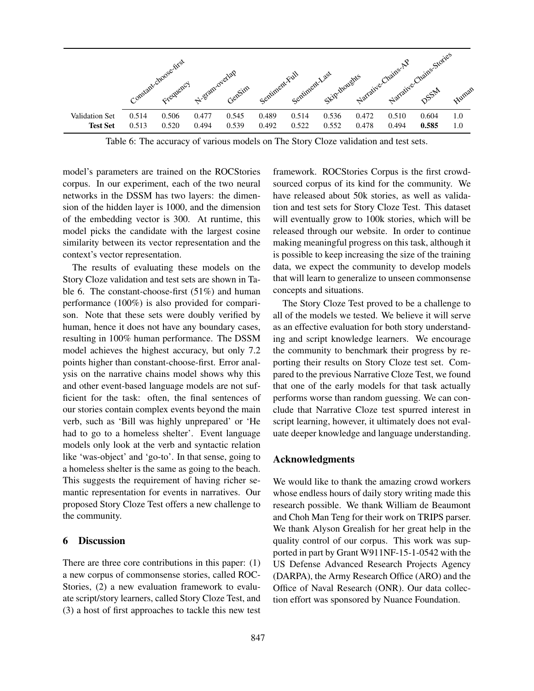

Table 6: The accuracy of various models on The Story Cloze validation and test sets.

model's parameters are trained on the ROCStories corpus. In our experiment, each of the two neural networks in the DSSM has two layers: the dimension of the hidden layer is 1000, and the dimension of the embedding vector is 300. At runtime, this model picks the candidate with the largest cosine similarity between its vector representation and the context's vector representation.

The results of evaluating these models on the Story Cloze validation and test sets are shown in Table 6. The constant-choose-first (51%) and human performance (100%) is also provided for comparison. Note that these sets were doubly verified by human, hence it does not have any boundary cases, resulting in 100% human performance. The DSSM model achieves the highest accuracy, but only 7.2 points higher than constant-choose-first. Error analysis on the narrative chains model shows why this and other event-based language models are not sufficient for the task: often, the final sentences of our stories contain complex events beyond the main verb, such as 'Bill was highly unprepared' or 'He had to go to a homeless shelter'. Event language models only look at the verb and syntactic relation like 'was-object' and 'go-to'. In that sense, going to a homeless shelter is the same as going to the beach. This suggests the requirement of having richer semantic representation for events in narratives. Our proposed Story Cloze Test offers a new challenge to the community.

#### 6 Discussion

There are three core contributions in this paper: (1) a new corpus of commonsense stories, called ROC-Stories, (2) a new evaluation framework to evaluate script/story learners, called Story Cloze Test, and (3) a host of first approaches to tackle this new test framework. ROCStories Corpus is the first crowdsourced corpus of its kind for the community. We have released about 50k stories, as well as validation and test sets for Story Cloze Test. This dataset will eventually grow to 100k stories, which will be released through our website. In order to continue making meaningful progress on this task, although it is possible to keep increasing the size of the training data, we expect the community to develop models that will learn to generalize to unseen commonsense concepts and situations.

The Story Cloze Test proved to be a challenge to all of the models we tested. We believe it will serve as an effective evaluation for both story understanding and script knowledge learners. We encourage the community to benchmark their progress by reporting their results on Story Cloze test set. Compared to the previous Narrative Cloze Test, we found that one of the early models for that task actually performs worse than random guessing. We can conclude that Narrative Cloze test spurred interest in script learning, however, it ultimately does not evaluate deeper knowledge and language understanding.

### Acknowledgments

We would like to thank the amazing crowd workers whose endless hours of daily story writing made this research possible. We thank William de Beaumont and Choh Man Teng for their work on TRIPS parser. We thank Alyson Grealish for her great help in the quality control of our corpus. This work was supported in part by Grant W911NF-15-1-0542 with the US Defense Advanced Research Projects Agency (DARPA), the Army Research Office (ARO) and the Office of Naval Research (ONR). Our data collection effort was sponsored by Nuance Foundation.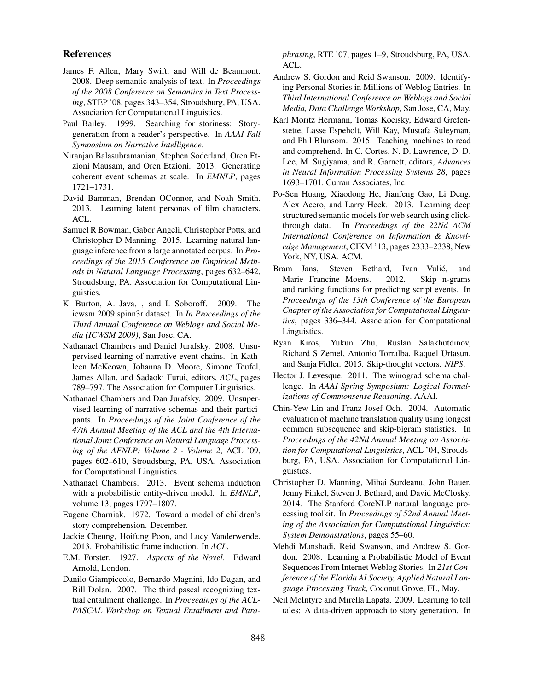#### References

- James F. Allen, Mary Swift, and Will de Beaumont. 2008. Deep semantic analysis of text. In *Proceedings of the 2008 Conference on Semantics in Text Processing*, STEP '08, pages 343–354, Stroudsburg, PA, USA. Association for Computational Linguistics.
- Paul Bailey. 1999. Searching for storiness: Storygeneration from a reader's perspective. In *AAAI Fall Symposium on Narrative Intelligence*.
- Niranjan Balasubramanian, Stephen Soderland, Oren Etzioni Mausam, and Oren Etzioni. 2013. Generating coherent event schemas at scale. In *EMNLP*, pages 1721–1731.
- David Bamman, Brendan OConnor, and Noah Smith. 2013. Learning latent personas of film characters. ACL.
- Samuel R Bowman, Gabor Angeli, Christopher Potts, and Christopher D Manning. 2015. Learning natural language inference from a large annotated corpus. In *Proceedings of the 2015 Conference on Empirical Methods in Natural Language Processing*, pages 632–642, Stroudsburg, PA. Association for Computational Linguistics.
- K. Burton, A. Java, , and I. Soboroff. 2009. The icwsm 2009 spinn3r dataset. In *In Proceedings of the Third Annual Conference on Weblogs and Social Media (ICWSM 2009)*, San Jose, CA.
- Nathanael Chambers and Daniel Jurafsky. 2008. Unsupervised learning of narrative event chains. In Kathleen McKeown, Johanna D. Moore, Simone Teufel, James Allan, and Sadaoki Furui, editors, *ACL*, pages 789–797. The Association for Computer Linguistics.
- Nathanael Chambers and Dan Jurafsky. 2009. Unsupervised learning of narrative schemas and their participants. In *Proceedings of the Joint Conference of the 47th Annual Meeting of the ACL and the 4th International Joint Conference on Natural Language Processing of the AFNLP: Volume 2 - Volume 2*, ACL '09, pages 602–610, Stroudsburg, PA, USA. Association for Computational Linguistics.
- Nathanael Chambers. 2013. Event schema induction with a probabilistic entity-driven model. In *EMNLP*, volume 13, pages 1797–1807.
- Eugene Charniak. 1972. Toward a model of children's story comprehension. December.
- Jackie Cheung, Hoifung Poon, and Lucy Vanderwende. 2013. Probabilistic frame induction. In *ACL*.
- E.M. Forster. 1927. *Aspects of the Novel*. Edward Arnold, London.
- Danilo Giampiccolo, Bernardo Magnini, Ido Dagan, and Bill Dolan. 2007. The third pascal recognizing textual entailment challenge. In *Proceedings of the ACL-PASCAL Workshop on Textual Entailment and Para-*

*phrasing*, RTE '07, pages 1–9, Stroudsburg, PA, USA. ACL.

- Andrew S. Gordon and Reid Swanson. 2009. Identifying Personal Stories in Millions of Weblog Entries. In *Third International Conference on Weblogs and Social Media, Data Challenge Workshop*, San Jose, CA, May.
- Karl Moritz Hermann, Tomas Kocisky, Edward Grefenstette, Lasse Espeholt, Will Kay, Mustafa Suleyman, and Phil Blunsom. 2015. Teaching machines to read and comprehend. In C. Cortes, N. D. Lawrence, D. D. Lee, M. Sugiyama, and R. Garnett, editors, *Advances in Neural Information Processing Systems 28*, pages 1693–1701. Curran Associates, Inc.
- Po-Sen Huang, Xiaodong He, Jianfeng Gao, Li Deng, Alex Acero, and Larry Heck. 2013. Learning deep structured semantic models for web search using clickthrough data. In *Proceedings of the 22Nd ACM International Conference on Information & Knowledge Management*, CIKM '13, pages 2333–2338, New York, NY, USA. ACM.
- Bram Jans, Steven Bethard, Ivan Vulić, and Marie Francine Moens. 2012. Skip n-grams and ranking functions for predicting script events. In *Proceedings of the 13th Conference of the European Chapter of the Association for Computational Linguistics*, pages 336–344. Association for Computational Linguistics.
- Ryan Kiros, Yukun Zhu, Ruslan Salakhutdinov, Richard S Zemel, Antonio Torralba, Raquel Urtasun, and Sanja Fidler. 2015. Skip-thought vectors. *NIPS*.
- Hector J. Levesque. 2011. The winograd schema challenge. In *AAAI Spring Symposium: Logical Formalizations of Commonsense Reasoning*. AAAI.
- Chin-Yew Lin and Franz Josef Och. 2004. Automatic evaluation of machine translation quality using longest common subsequence and skip-bigram statistics. In *Proceedings of the 42Nd Annual Meeting on Association for Computational Linguistics*, ACL '04, Stroudsburg, PA, USA. Association for Computational Linguistics.
- Christopher D. Manning, Mihai Surdeanu, John Bauer, Jenny Finkel, Steven J. Bethard, and David McClosky. 2014. The Stanford CoreNLP natural language processing toolkit. In *Proceedings of 52nd Annual Meeting of the Association for Computational Linguistics: System Demonstrations*, pages 55–60.
- Mehdi Manshadi, Reid Swanson, and Andrew S. Gordon. 2008. Learning a Probabilistic Model of Event Sequences From Internet Weblog Stories. In *21st Conference of the Florida AI Society, Applied Natural Language Processing Track*, Coconut Grove, FL, May.
- Neil McIntyre and Mirella Lapata. 2009. Learning to tell tales: A data-driven approach to story generation. In